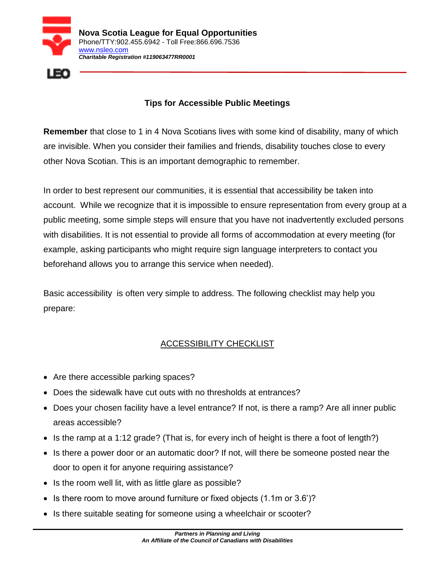



## **Tips for Accessible Public Meetings**

**Remember** that close to 1 in 4 Nova Scotians lives with some kind of disability, many of which are invisible. When you consider their families and friends, disability touches close to every other Nova Scotian. This is an important demographic to remember.

In order to best represent our communities, it is essential that accessibility be taken into account. While we recognize that it is impossible to ensure representation from every group at a public meeting, some simple steps will ensure that you have not inadvertently excluded persons with disabilities. It is not essential to provide all forms of accommodation at every meeting (for example, asking participants who might require sign language interpreters to contact you beforehand allows you to arrange this service when needed).

Basic accessibility is often very simple to address. The following checklist may help you prepare:

## ACCESSIBILITY CHECKLIST

- Are there accessible parking spaces?
- Does the sidewalk have cut outs with no thresholds at entrances?
- Does your chosen facility have a level entrance? If not, is there a ramp? Are all inner public areas accessible?
- Is the ramp at a 1:12 grade? (That is, for every inch of height is there a foot of length?)
- Is there a power door or an automatic door? If not, will there be someone posted near the door to open it for anyone requiring assistance?
- Is the room well lit, with as little glare as possible?
- Is there room to move around furniture or fixed objects  $(1.1m \text{ or } 3.6')$ ?
- Is there suitable seating for someone using a wheelchair or scooter?